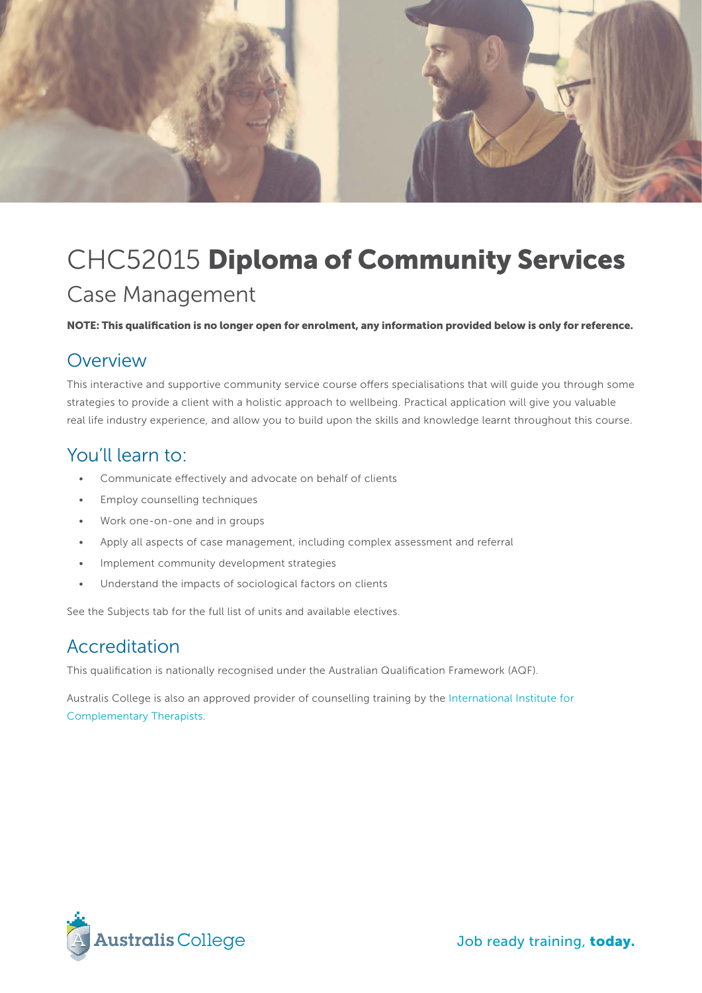

# CHC52015 Diploma of Community Services Case Management

NOTE: This qualification is no longer open for enrolment, any information provided below is only for reference.

#### Overview

This interactive and supportive community service course offers specialisations that will guide you through some strategies to provide a client with a holistic approach to wellbeing. Practical application will give you valuable real life industry experience, and allow you to build upon the skills and knowledge learnt throughout this course.

#### You'll learn to:

- Communicate effectively and advocate on behalf of clients
- • Employ counselling techniques
- • Work one-on-one and in groups
- Apply all aspects of case management, including complex assessment and referral
- • Implement community development strategies
- • Understand the impacts of sociological factors on clients

See the Subjects tab for the full list of units and available electives.

#### Accreditation

This qualification is nationally recognised under the Australian Qualification Framework (AQF).

Australis College is also an approved provider of counselling training by the [International Institute for](https://www.iict.com.au/)  [Complementary Therapists](https://www.iict.com.au/).



Job ready training, today.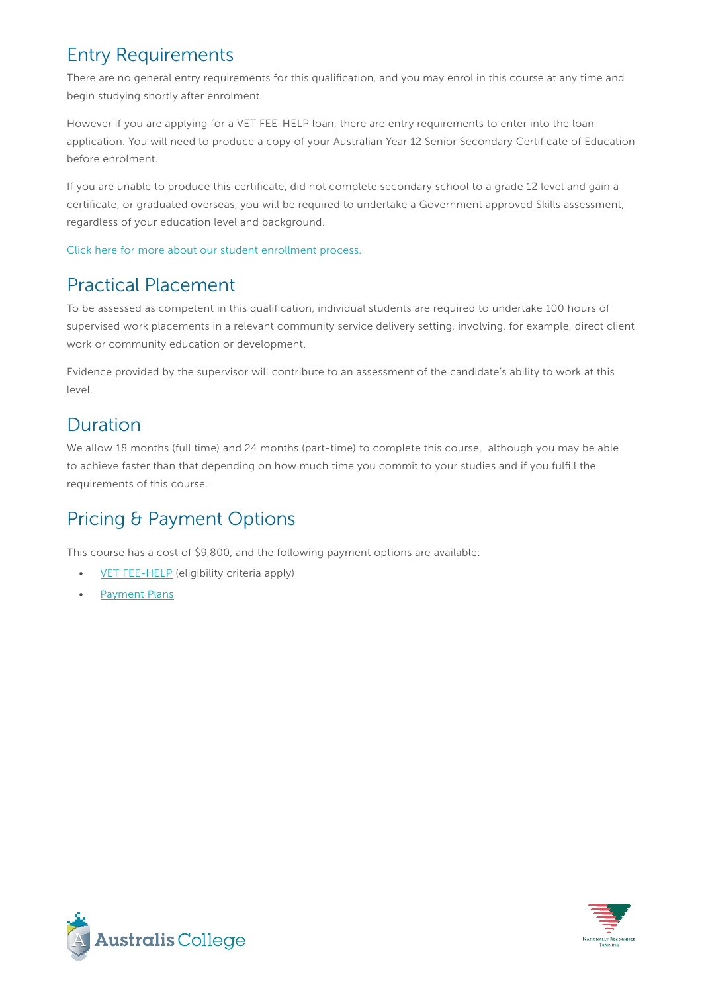## Entry Requirements

There are no general entry requirements for this qualification, and you may enrol in this course at any time and begin studying shortly after enrolment.

However if you are applying for a VET FEE-HELP loan, there are entry requirements to enter into the loan application. You will need to produce a copy of your Australian Year 12 Senior Secondary Certificate of Education before enrolment.

If you are unable to produce this certificate, did not complete secondary school to a grade 12 level and gain a certificate, or graduated overseas, you will be required to undertake a Government approved Skills assessment, regardless of your education level and background.

[Click here for more about our student enrollment process.](http://www.australiscollege.edu.au/vet-fee-help/student-entry-procedure/) 

# Practical Placement

To be assessed as competent in this qualification, individual students are required to undertake 100 hours of supervised work placements in a relevant community service delivery setting, involving, for example, direct client work or community education or development.

Evidence provided by the supervisor will contribute to an assessment of the candidate's ability to work at this level.

## Duration

We allow 18 months (full time) and 24 months (part-time) to complete this course, although you may be able to achieve faster than that depending on how much time you commit to your studies and if you fulfill the requirements of this course.

## Pricing & Payment Options

This course has a cost of \$9,800, and the following payment options are available:

- **[VET FEE-HELP](http://www.australiscollege.edu.au/vet-fee-help/)** (eligibility criteria apply)
- [Payment Plans](http://www.australiscollege.edu.au/payment-plans/)